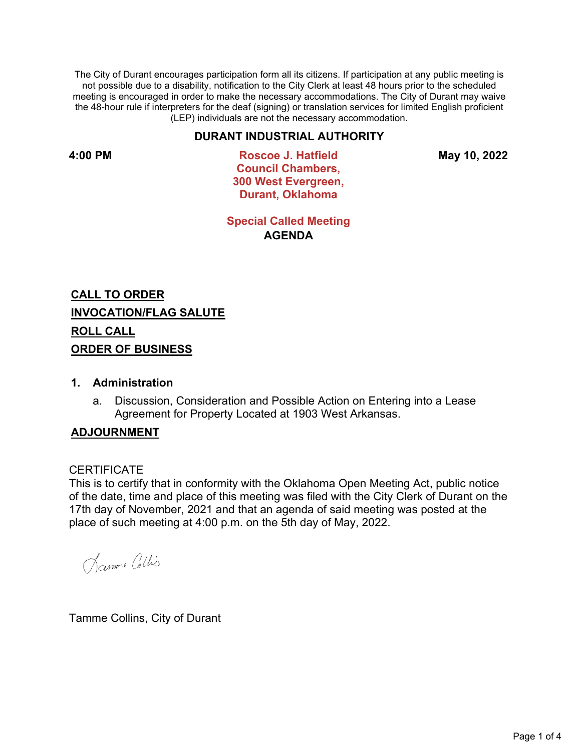The City of Durant encourages participation form all its citizens. If participation at any public meeting is not possible due to a disability, notification to the City Clerk at least 48 hours prior to the scheduled meeting is encouraged in order to make the necessary accommodations. The City of Durant may waive the 48-hour rule if interpreters for the deaf (signing) or translation services for limited English proficient (LEP) individuals are not the necessary accommodation.

## **DURANT INDUSTRIAL AUTHORITY**

**4:00 PM Roscoe J. Hatfield Council Chambers, 300 West Evergreen, Durant, Oklahoma**

**May 10, 2022**

**Special Called Meeting AGENDA**

**CALL TO ORDER INVOCATION/FLAG SALUTE ROLL CALL ORDER OF BUSINESS**

## **1. Administration**

a. Discussion, Consideration and Possible Action on Entering into a Lease Agreement for Property Located at 1903 West Arkansas.

### **ADJOURNMENT**

### **CERTIFICATE**

This is to certify that in conformity with the Oklahoma Open Meeting Act, public notice of the date, time and place of this meeting was filed with the City Clerk of Durant on the 17th day of November, 2021 and that an agenda of said meeting was posted at the place of such meeting at 4:00 p.m. on the 5th day of May, 2022.

Damme Collis

Tamme Collins, City of Durant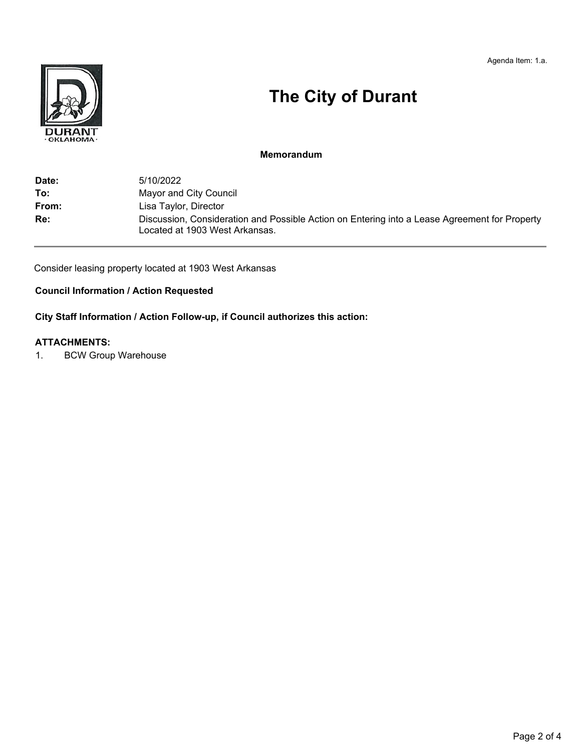Agenda Item: 1.a.



# **The City of Durant**

### **Memorandum**

| Date: | 5/10/2022                                                                                                                       |
|-------|---------------------------------------------------------------------------------------------------------------------------------|
| To:   | Mayor and City Council                                                                                                          |
| From: | Lisa Taylor, Director                                                                                                           |
| Re:   | Discussion, Consideration and Possible Action on Entering into a Lease Agreement for Property<br>Located at 1903 West Arkansas. |

Consider leasing property located at 1903 West Arkansas

# **Council Information / Action Requested**

**City Staff Information / Action Follow-up, if Council authorizes this action:**

### **ATTACHMENTS:**

1. BCW Group Warehouse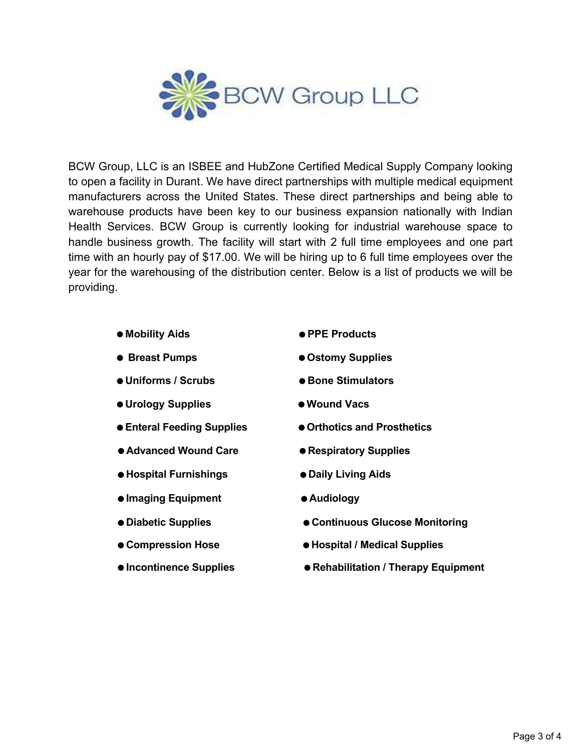

BCW Group, LLC is an ISBEE and HubZone Certified Medical Supply Company looking to open a facility in Durant. We have direct partnerships with multiple medical equipment manufacturers across the United States. These direct partnerships and being able to warehouse products have been key to our business expansion nationally with Indian Health Services. BCW Group is currently looking for industrial warehouse space to handle business growth. The facility will start with 2 full time employees and one part time with an hourly pay of \$17.00. We will be hiring up to 6 full time employees over the year for the warehousing of the distribution center. Below is a list of products we will be providing.

- 
- 
- Uniforms / Scrubs  **Bone Stimulators**
- $\bullet$  **Urology Supplies Wound Vacs**
- 
- Advanced Wound Care **Respiratory** Supplies
- **Hospital Furnishings Daily Living Aids**
- **Imaging Equipment Audiology**
- 
- 
- 
- **Mobility Aids PPE Products**
- **Breast Pumps Ostomy Supplies**
	-
	-
- **Enteral Feeding Supplies Orthotics and Prosthetics**
	-
	-
	-
- **Diabetic Supplies Continuous Glucose Monitoring**
- Compression Hose  **Hospital / Medical Supplies**
- **Incontinence Supplies Rehabilitation / Therapy Equipment**